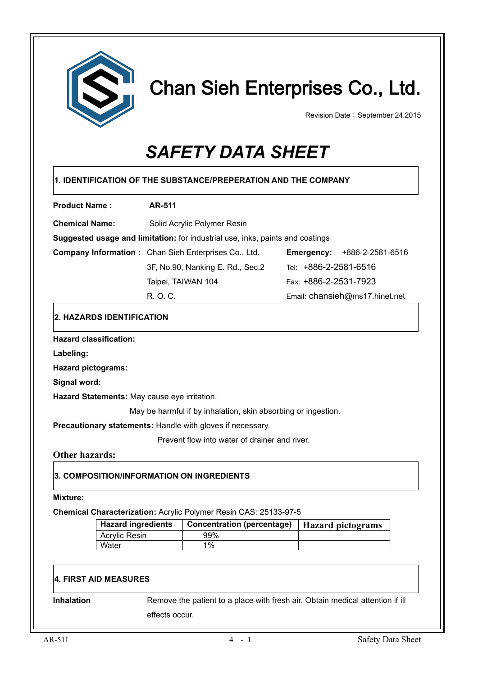

# Chan Sieh Enterprises Co., Ltd.

Revision Date: September 24,2015

# *SAFETY DATA SHEET*

| <b>Product Name:</b>                         |                             | <b>AR-511</b>      |                                                                               |  |                                                                               |
|----------------------------------------------|-----------------------------|--------------------|-------------------------------------------------------------------------------|--|-------------------------------------------------------------------------------|
| <b>Chemical Name:</b>                        | Solid Acrylic Polymer Resin |                    |                                                                               |  |                                                                               |
|                                              |                             |                    | Suggested usage and limitation: for industrial use, inks, paints and coatings |  |                                                                               |
|                                              |                             |                    | Company Information: Chan Sieh Enterprises Co., Ltd.                          |  | <b>Emergency: +886-2-2581-6516</b>                                            |
|                                              |                             |                    | 3F, No.90, Nanking E. Rd., Sec.2                                              |  | Tel: +886-2-2581-6516                                                         |
|                                              |                             | Taipei, TAIWAN 104 |                                                                               |  | Fax: +886-2-2531-7923                                                         |
|                                              |                             | R. O. C.           |                                                                               |  | Email: chansieh@ms17.hinet.net                                                |
| 2. HAZARDS IDENTIFICATION                    |                             |                    |                                                                               |  |                                                                               |
| <b>Hazard classification:</b>                |                             |                    |                                                                               |  |                                                                               |
| Labeling:                                    |                             |                    |                                                                               |  |                                                                               |
| <b>Hazard pictograms:</b>                    |                             |                    |                                                                               |  |                                                                               |
| Signal word:                                 |                             |                    |                                                                               |  |                                                                               |
| Hazard Statements: May cause eye irritation. |                             |                    |                                                                               |  |                                                                               |
|                                              |                             |                    | May be harmful if by inhalation, skin absorbing or ingestion.                 |  |                                                                               |
|                                              |                             |                    | Precautionary statements: Handle with gloves if necessary.                    |  |                                                                               |
|                                              |                             |                    |                                                                               |  |                                                                               |
|                                              |                             |                    | Prevent flow into water of drainer and river.                                 |  |                                                                               |
| <b>Other hazards:</b>                        |                             |                    |                                                                               |  |                                                                               |
|                                              |                             |                    | 3. COMPOSITION/INFORMATION ON INGREDIENTS                                     |  |                                                                               |
| <b>Mixture:</b>                              |                             |                    | Chemical Characterization: Acrylic Polymer Resin CAS: 25133-97-5              |  |                                                                               |
|                                              | <b>Hazard ingredients</b>   |                    | <b>Concentration (percentage)</b>                                             |  |                                                                               |
|                                              | <b>Acrylic Resin</b>        |                    | 99%                                                                           |  | <b>Hazard pictograms</b>                                                      |
|                                              | Water                       |                    | 1%                                                                            |  |                                                                               |
| <b>4. FIRST AID MEASURES</b>                 |                             |                    |                                                                               |  |                                                                               |
| <b>Inhalation</b>                            |                             |                    |                                                                               |  | Remove the patient to a place with fresh air. Obtain medical attention if ill |
|                                              |                             | effects occur.     |                                                                               |  |                                                                               |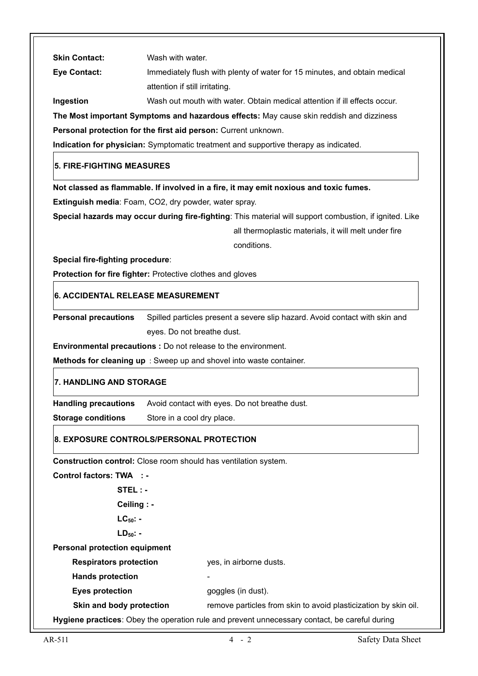| <b>Skin Contact:</b>                 | Wash with water.                                                                                        |
|--------------------------------------|---------------------------------------------------------------------------------------------------------|
| <b>Eye Contact:</b>                  | Immediately flush with plenty of water for 15 minutes, and obtain medical                               |
|                                      | attention if still irritating.                                                                          |
| Ingestion                            | Wash out mouth with water. Obtain medical attention if ill effects occur.                               |
|                                      | The Most important Symptoms and hazardous effects: May cause skin reddish and dizziness                 |
|                                      | Personal protection for the first aid person: Current unknown.                                          |
|                                      | Indication for physician: Symptomatic treatment and supportive therapy as indicated.                    |
| 5. FIRE-FIGHTING MEASURES            |                                                                                                         |
|                                      | Not classed as flammable. If involved in a fire, it may emit noxious and toxic fumes.                   |
|                                      | Extinguish media: Foam, CO2, dry powder, water spray.                                                   |
|                                      | Special hazards may occur during fire-fighting: This material will support combustion, if ignited. Like |
|                                      | all thermoplastic materials, it will melt under fire                                                    |
|                                      | conditions.                                                                                             |
| Special fire-fighting procedure:     |                                                                                                         |
|                                      | Protection for fire fighter: Protective clothes and gloves                                              |
| 6. ACCIDENTAL RELEASE MEASUREMENT    |                                                                                                         |
| <b>Personal precautions</b>          | Spilled particles present a severe slip hazard. Avoid contact with skin and                             |
|                                      | eyes. Do not breathe dust.                                                                              |
|                                      | <b>Environmental precautions :</b> Do not release to the environment.                                   |
|                                      | Methods for cleaning up : Sweep up and shovel into waste container.                                     |
| <b>7. HANDLING AND STORAGE</b>       |                                                                                                         |
| <b>Handling precautions</b>          | Avoid contact with eyes. Do not breathe dust.                                                           |
| <b>Storage conditions</b>            | Store in a cool dry place.                                                                              |
|                                      | 8. EXPOSURE CONTROLS/PERSONAL PROTECTION                                                                |
|                                      | Construction control: Close room should has ventilation system.                                         |
| <b>Control factors: TWA : -</b>      |                                                                                                         |
| STEL : -                             |                                                                                                         |
| Ceiling : -                          |                                                                                                         |
| $LC_{50}$ : -                        |                                                                                                         |
| $LD_{50}$ -                          |                                                                                                         |
| <b>Personal protection equipment</b> |                                                                                                         |
| <b>Respirators protection</b>        | yes, in airborne dusts.                                                                                 |
| <b>Hands protection</b>              |                                                                                                         |
| <b>Eyes protection</b>               | goggles (in dust).                                                                                      |
| Skin and body protection             | remove particles from skin to avoid plasticization by skin oil.                                         |
|                                      | Hygiene practices: Obey the operation rule and prevent unnecessary contact, be careful during           |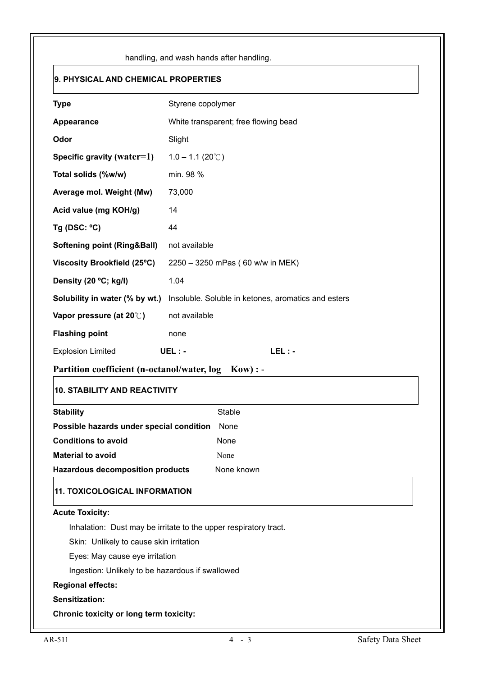| 9. PHYSICAL AND CHEMICAL PROPERTIES                                          |                                                                  |
|------------------------------------------------------------------------------|------------------------------------------------------------------|
| <b>Type</b>                                                                  | Styrene copolymer                                                |
| Appearance                                                                   | White transparent; free flowing bead                             |
| Odor                                                                         | Slight                                                           |
| Specific gravity (water=1)                                                   | $1.0 - 1.1 (20^{\circ}$ C)                                       |
| Total solids (%w/w)                                                          | min. 98 %                                                        |
| Average mol. Weight (Mw)                                                     | 73,000                                                           |
| Acid value (mg KOH/g)                                                        | 14                                                               |
| Tg (DSC: $°C$ )                                                              | 44                                                               |
| <b>Softening point (Ring&amp;Ball)</b>                                       | not available                                                    |
| Viscosity Brookfield (25°C)                                                  | 2250 - 3250 mPas (60 w/w in MEK)                                 |
| Density (20 °C; kg/l)                                                        | 1.04                                                             |
| Solubility in water (% by wt.)                                               | Insoluble. Soluble in ketones, aromatics and esters              |
| Vapor pressure (at $20^{\circ}$ )                                            | not available                                                    |
| <b>Flashing point</b>                                                        | none                                                             |
| <b>Explosion Limited</b>                                                     | $UEL: -$<br>$LEL: -$                                             |
| Partition coefficient (n-octanol/water, log                                  | $Kow$ : -                                                        |
| <b>10. STABILITY AND REACTIVITY</b>                                          |                                                                  |
| <b>Stability</b>                                                             | Stable                                                           |
| Possible hazards under special condition                                     | None                                                             |
| <b>Conditions to avoid</b>                                                   | None                                                             |
| <b>Material to avoid</b><br><b>Hazardous decomposition products</b>          | None<br>None known                                               |
| <b>11. TOXICOLOGICAL INFORMATION</b>                                         |                                                                  |
| <b>Acute Toxicity:</b>                                                       |                                                                  |
|                                                                              | Inhalation: Dust may be irritate to the upper respiratory tract. |
| Skin: Unlikely to cause skin irritation                                      |                                                                  |
| Eyes: May cause eye irritation                                               |                                                                  |
|                                                                              |                                                                  |
| Ingestion: Unlikely to be hazardous if swallowed<br><b>Regional effects:</b> |                                                                  |